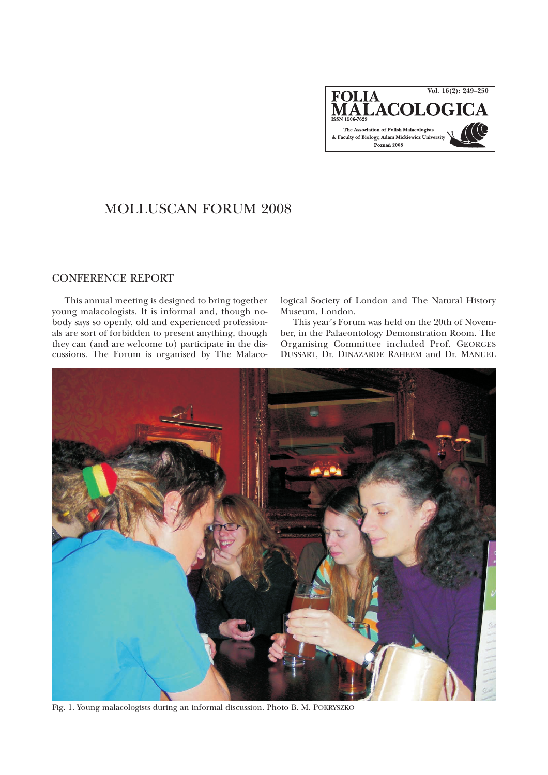

## MOLLUSCAN FORUM 2008

## CONFERENCE REPORT

This annual meeting is designed to bring together young malacologists. It is informal and, though nobody says so openly, old and experienced professionals are sort of forbidden to present anything, though theycan (and are welcome to) participate in the discussions. The Forum is organised by The Malacological Society of London and The Natural History Museum, London.

This year's Forum was held on the 20th of November, in the Palaeontology Demonstration Room. The Organising Committee included Prof. GEORGES DUSSART, Dr. DINAZARDE RAHEEM and Dr. MANUEL



Fig. 1. Young malacologists during an informal discussion. Photo B. M. POKRYSZKO